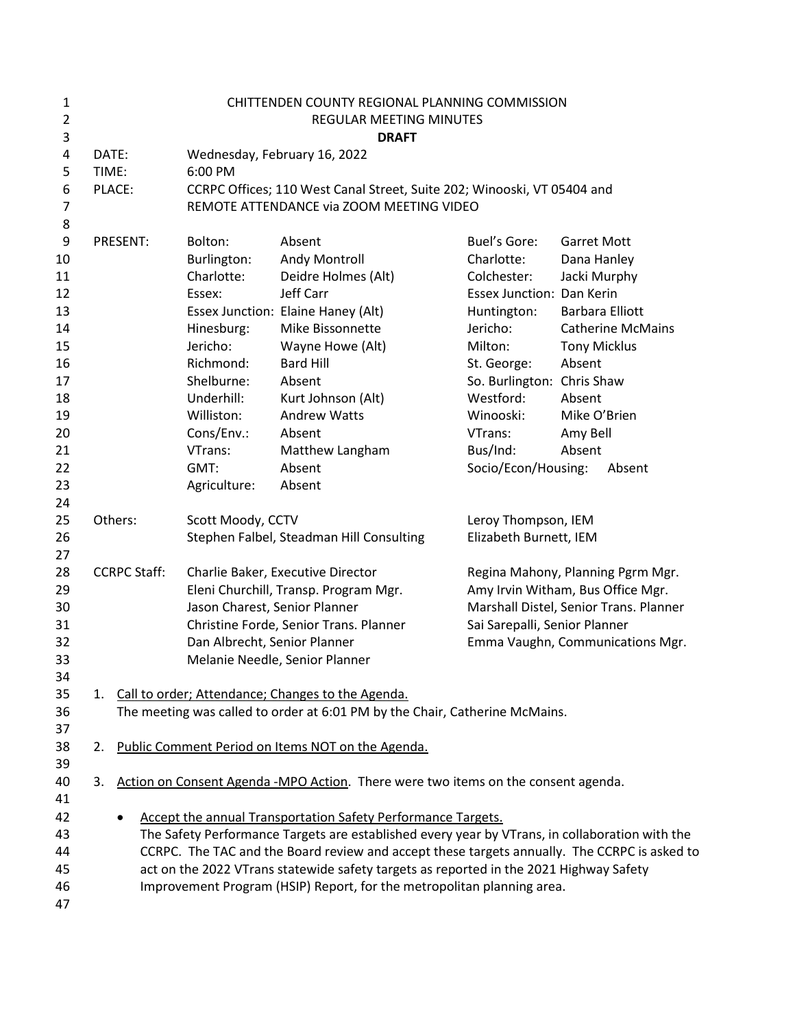| $\mathbf{1}$   |       |                     |                                          | CHITTENDEN COUNTY REGIONAL PLANNING COMMISSION                                                                                      |                                   |                                                    |
|----------------|-------|---------------------|------------------------------------------|-------------------------------------------------------------------------------------------------------------------------------------|-----------------------------------|----------------------------------------------------|
| $\overline{2}$ |       |                     |                                          | REGULAR MEETING MINUTES                                                                                                             |                                   |                                                    |
| 3              |       |                     |                                          | <b>DRAFT</b>                                                                                                                        |                                   |                                                    |
| $\overline{4}$ | DATE: |                     | Wednesday, February 16, 2022             |                                                                                                                                     |                                   |                                                    |
| 5              | TIME: |                     | 6:00 PM                                  |                                                                                                                                     |                                   |                                                    |
| 6              |       | PLACE:              |                                          | CCRPC Offices; 110 West Canal Street, Suite 202; Winooski, VT 05404 and                                                             |                                   |                                                    |
| 7              |       |                     |                                          | REMOTE ATTENDANCE via ZOOM MEETING VIDEO                                                                                            |                                   |                                                    |
| 8              |       |                     |                                          |                                                                                                                                     |                                   |                                                    |
| 9              |       | PRESENT:            | Bolton:                                  | Absent                                                                                                                              | Buel's Gore:                      | <b>Garret Mott</b>                                 |
| 10             |       |                     | Burlington:                              | Andy Montroll                                                                                                                       | Charlotte:                        | Dana Hanley                                        |
| 11             |       |                     | Charlotte:                               | Deidre Holmes (Alt)                                                                                                                 | Colchester:                       | Jacki Murphy                                       |
| 12             |       |                     | Essex:                                   | Jeff Carr                                                                                                                           | Essex Junction: Dan Kerin         |                                                    |
| 13<br>14       |       |                     |                                          | Essex Junction: Elaine Haney (Alt)<br>Mike Bissonnette                                                                              | Huntington:<br>Jericho:           | <b>Barbara Elliott</b><br><b>Catherine McMains</b> |
| 15             |       |                     | Hinesburg:<br>Jericho:                   | Wayne Howe (Alt)                                                                                                                    | Milton:                           | <b>Tony Micklus</b>                                |
| 16             |       |                     | Richmond:                                | <b>Bard Hill</b>                                                                                                                    | St. George:                       | Absent                                             |
| 17             |       |                     | Shelburne:                               | Absent                                                                                                                              | So. Burlington: Chris Shaw        |                                                    |
| 18             |       |                     | Underhill:                               | Kurt Johnson (Alt)                                                                                                                  | Westford:                         | Absent                                             |
| 19             |       |                     | Williston:                               | <b>Andrew Watts</b>                                                                                                                 | Winooski:                         | Mike O'Brien                                       |
| 20             |       |                     | Cons/Env.:                               | Absent                                                                                                                              | VTrans:                           | Amy Bell                                           |
| 21             |       |                     | VTrans:                                  | Matthew Langham                                                                                                                     | Bus/Ind:                          | Absent                                             |
| 22             |       |                     | GMT:                                     | Absent                                                                                                                              | Socio/Econ/Housing:               | Absent                                             |
| 23             |       |                     | Agriculture:                             | Absent                                                                                                                              |                                   |                                                    |
| 24             |       |                     |                                          |                                                                                                                                     |                                   |                                                    |
| 25             |       | Others:             | Scott Moody, CCTV                        |                                                                                                                                     | Leroy Thompson, IEM               |                                                    |
| 26             |       |                     | Stephen Falbel, Steadman Hill Consulting |                                                                                                                                     | Elizabeth Burnett, IEM            |                                                    |
| 27             |       |                     |                                          |                                                                                                                                     |                                   |                                                    |
| 28             |       | <b>CCRPC Staff:</b> | Charlie Baker, Executive Director        |                                                                                                                                     | Regina Mahony, Planning Pgrm Mgr. |                                                    |
| 29             |       |                     |                                          | Eleni Churchill, Transp. Program Mgr.                                                                                               |                                   | Amy Irvin Witham, Bus Office Mgr.                  |
| 30             |       |                     | Jason Charest, Senior Planner            |                                                                                                                                     |                                   | Marshall Distel, Senior Trans. Planner             |
| 31             |       |                     |                                          | Christine Forde, Senior Trans. Planner                                                                                              | Sai Sarepalli, Senior Planner     |                                                    |
| 32             |       |                     | Dan Albrecht, Senior Planner             |                                                                                                                                     |                                   | Emma Vaughn, Communications Mgr.                   |
| 33             |       |                     |                                          | Melanie Needle, Senior Planner                                                                                                      |                                   |                                                    |
| 34             |       |                     |                                          |                                                                                                                                     |                                   |                                                    |
| 35             |       |                     |                                          | 1. Call to order; Attendance; Changes to the Agenda.<br>The meeting was called to order at 6:01 PM by the Chair, Catherine McMains. |                                   |                                                    |
| 36<br>37       |       |                     |                                          |                                                                                                                                     |                                   |                                                    |
| 38             |       |                     |                                          | 2. Public Comment Period on Items NOT on the Agenda.                                                                                |                                   |                                                    |
| 39             |       |                     |                                          |                                                                                                                                     |                                   |                                                    |
| 40             | 3.    |                     |                                          | Action on Consent Agenda -MPO Action. There were two items on the consent agenda.                                                   |                                   |                                                    |
| 41             |       |                     |                                          |                                                                                                                                     |                                   |                                                    |
| 42             |       |                     |                                          | Accept the annual Transportation Safety Performance Targets.                                                                        |                                   |                                                    |
| 43             |       |                     |                                          | The Safety Performance Targets are established every year by VTrans, in collaboration with the                                      |                                   |                                                    |
| 44             |       |                     |                                          | CCRPC. The TAC and the Board review and accept these targets annually. The CCRPC is asked to                                        |                                   |                                                    |
| 45             |       |                     |                                          | act on the 2022 VTrans statewide safety targets as reported in the 2021 Highway Safety                                              |                                   |                                                    |
| 46             |       |                     |                                          | Improvement Program (HSIP) Report, for the metropolitan planning area.                                                              |                                   |                                                    |
| 47             |       |                     |                                          |                                                                                                                                     |                                   |                                                    |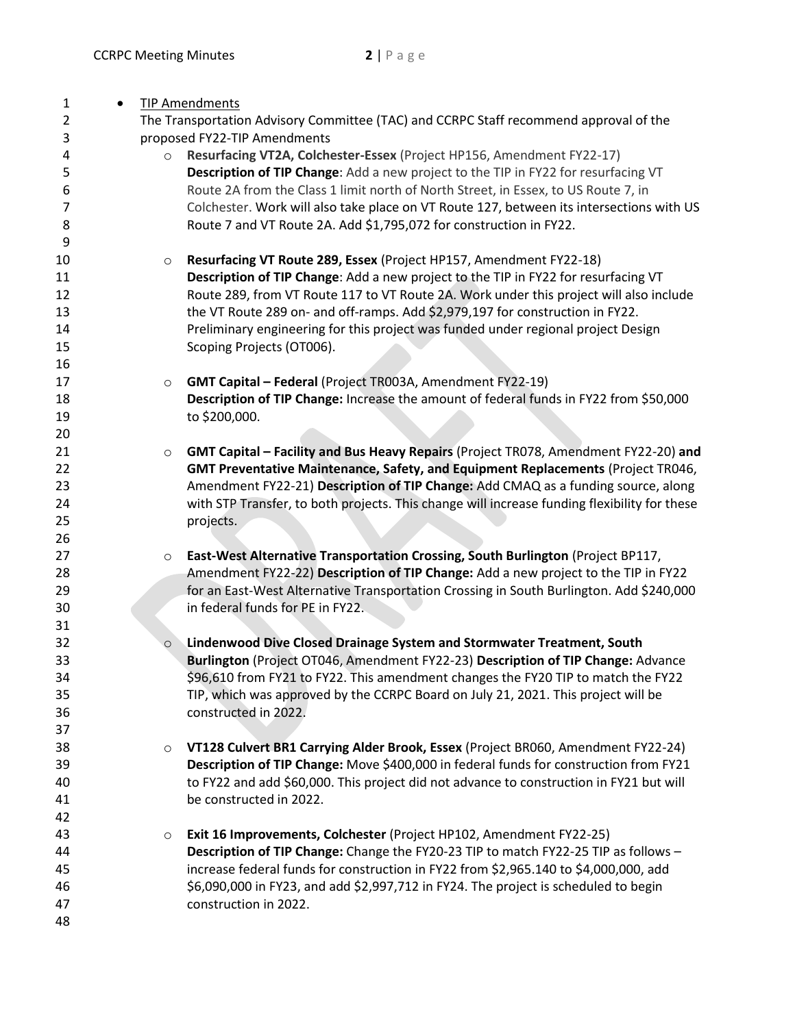| 1<br>$\bullet$ |         | <b>TIP Amendments</b>                                                                        |
|----------------|---------|----------------------------------------------------------------------------------------------|
| $\overline{2}$ |         | The Transportation Advisory Committee (TAC) and CCRPC Staff recommend approval of the        |
| 3              |         | proposed FY22-TIP Amendments                                                                 |
| 4              | $\circ$ | Resurfacing VT2A, Colchester-Essex (Project HP156, Amendment FY22-17)                        |
| 5              |         | Description of TIP Change: Add a new project to the TIP in FY22 for resurfacing VT           |
| 6              |         | Route 2A from the Class 1 limit north of North Street, in Essex, to US Route 7, in           |
| 7              |         | Colchester. Work will also take place on VT Route 127, between its intersections with US     |
| 8              |         | Route 7 and VT Route 2A. Add \$1,795,072 for construction in FY22.                           |
| 9              |         |                                                                                              |
| 10             | $\circ$ | Resurfacing VT Route 289, Essex (Project HP157, Amendment FY22-18)                           |
| 11             |         | Description of TIP Change: Add a new project to the TIP in FY22 for resurfacing VT           |
| 12             |         | Route 289, from VT Route 117 to VT Route 2A. Work under this project will also include       |
| 13             |         | the VT Route 289 on- and off-ramps. Add \$2,979,197 for construction in FY22.                |
| 14             |         | Preliminary engineering for this project was funded under regional project Design            |
| 15             |         | Scoping Projects (OT006).                                                                    |
| 16             |         |                                                                                              |
| 17             | $\circ$ | <b>GMT Capital - Federal (Project TR003A, Amendment FY22-19)</b>                             |
| 18             |         | Description of TIP Change: Increase the amount of federal funds in FY22 from \$50,000        |
| 19             |         | to \$200,000.                                                                                |
| 20             |         |                                                                                              |
| 21             | $\circ$ | GMT Capital - Facility and Bus Heavy Repairs (Project TR078, Amendment FY22-20) and          |
| 22             |         | GMT Preventative Maintenance, Safety, and Equipment Replacements (Project TR046,             |
| 23             |         | Amendment FY22-21) Description of TIP Change: Add CMAQ as a funding source, along            |
| 24             |         | with STP Transfer, to both projects. This change will increase funding flexibility for these |
| 25             |         | projects.                                                                                    |
| 26             |         |                                                                                              |
| 27             | $\circ$ | East-West Alternative Transportation Crossing, South Burlington (Project BP117,              |
| 28             |         | Amendment FY22-22) Description of TIP Change: Add a new project to the TIP in FY22           |
| 29             |         | for an East-West Alternative Transportation Crossing in South Burlington. Add \$240,000      |
| 30             |         | in federal funds for PE in FY22.                                                             |
| 31             |         |                                                                                              |
| 32             | $\circ$ | Lindenwood Dive Closed Drainage System and Stormwater Treatment, South                       |
| 33             |         | Burlington (Project OT046, Amendment FY22-23) Description of TIP Change: Advance             |
| 34             |         | \$96,610 from FY21 to FY22. This amendment changes the FY20 TIP to match the FY22            |
| 35             |         | TIP, which was approved by the CCRPC Board on July 21, 2021. This project will be            |
| 36             |         | constructed in 2022.                                                                         |
| 37             |         |                                                                                              |
| 38             | $\circ$ | VT128 Culvert BR1 Carrying Alder Brook, Essex (Project BR060, Amendment FY22-24)             |
| 39             |         | Description of TIP Change: Move \$400,000 in federal funds for construction from FY21        |
| 40             |         | to FY22 and add \$60,000. This project did not advance to construction in FY21 but will      |
| 41             |         | be constructed in 2022.                                                                      |
| 42             |         |                                                                                              |
| 43             | $\circ$ | Exit 16 Improvements, Colchester (Project HP102, Amendment FY22-25)                          |
| 44             |         | Description of TIP Change: Change the FY20-23 TIP to match FY22-25 TIP as follows -          |
| 45             |         | increase federal funds for construction in FY22 from \$2,965.140 to \$4,000,000, add         |
| 46             |         | \$6,090,000 in FY23, and add \$2,997,712 in FY24. The project is scheduled to begin          |
| 47             |         | construction in 2022.                                                                        |
| 48             |         |                                                                                              |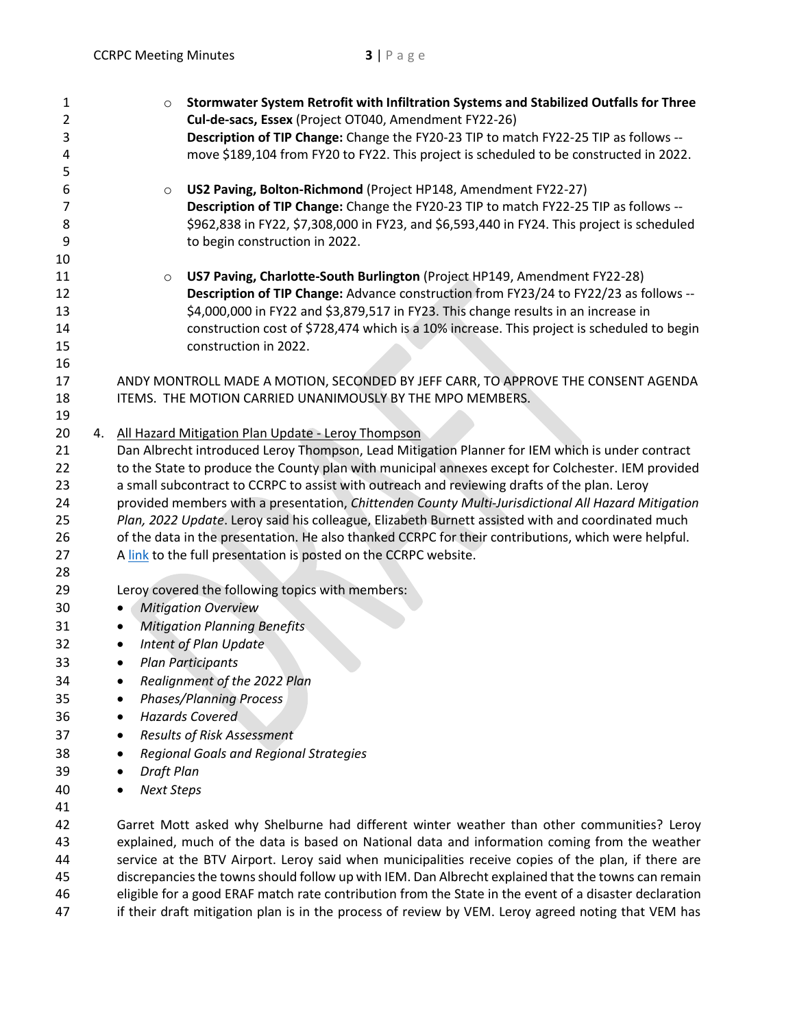| 1              | Stormwater System Retrofit with Infiltration Systems and Stabilized Outfalls for Three<br>$\circ$      |
|----------------|--------------------------------------------------------------------------------------------------------|
| $\overline{2}$ | Cul-de-sacs, Essex (Project OT040, Amendment FY22-26)                                                  |
| 3              | Description of TIP Change: Change the FY20-23 TIP to match FY22-25 TIP as follows --                   |
| 4              | move \$189,104 from FY20 to FY22. This project is scheduled to be constructed in 2022.                 |
| 5              |                                                                                                        |
| 6              | US2 Paving, Bolton-Richmond (Project HP148, Amendment FY22-27)<br>$\circ$                              |
| 7              | Description of TIP Change: Change the FY20-23 TIP to match FY22-25 TIP as follows --                   |
| 8              | \$962,838 in FY22, \$7,308,000 in FY23, and \$6,593,440 in FY24. This project is scheduled             |
| 9              | to begin construction in 2022.                                                                         |
| 10             |                                                                                                        |
| 11             | US7 Paving, Charlotte-South Burlington (Project HP149, Amendment FY22-28)<br>$\circ$                   |
| 12             | Description of TIP Change: Advance construction from FY23/24 to FY22/23 as follows --                  |
| 13             | \$4,000,000 in FY22 and \$3,879,517 in FY23. This change results in an increase in                     |
| 14             | construction cost of \$728,474 which is a 10% increase. This project is scheduled to begin             |
| 15             | construction in 2022.                                                                                  |
| 16             |                                                                                                        |
| 17             | ANDY MONTROLL MADE A MOTION, SECONDED BY JEFF CARR, TO APPROVE THE CONSENT AGENDA                      |
| 18             | ITEMS. THE MOTION CARRIED UNANIMOUSLY BY THE MPO MEMBERS.                                              |
| 19             |                                                                                                        |
| 20             | 4. All Hazard Mitigation Plan Update - Leroy Thompson                                                  |
| 21             | Dan Albrecht introduced Leroy Thompson, Lead Mitigation Planner for IEM which is under contract        |
| 22             | to the State to produce the County plan with municipal annexes except for Colchester. IEM provided     |
| 23             | a small subcontract to CCRPC to assist with outreach and reviewing drafts of the plan. Leroy           |
| 24             | provided members with a presentation, Chittenden County Multi-Jurisdictional All Hazard Mitigation     |
| 25             | Plan, 2022 Update. Leroy said his colleague, Elizabeth Burnett assisted with and coordinated much      |
| 26             | of the data in the presentation. He also thanked CCRPC for their contributions, which were helpful.    |
| 27             | A link to the full presentation is posted on the CCRPC website.                                        |
| 28             |                                                                                                        |
| 29             | Leroy covered the following topics with members:                                                       |
| 30             | <b>Mitigation Overview</b><br>$\bullet$                                                                |
| 31             | <b>Mitigation Planning Benefits</b><br>$\bullet$                                                       |
|                |                                                                                                        |
| 32             | Intent of Plan Update<br>$\bullet$                                                                     |
| 33             | <b>Plan Participants</b><br>$\bullet$                                                                  |
| 34             | Realignment of the 2022 Plan                                                                           |
| 35             | <b>Phases/Planning Process</b>                                                                         |
| 36             | <b>Hazards Covered</b><br>٠                                                                            |
| 37             | <b>Results of Risk Assessment</b><br>٠                                                                 |
| 38             | <b>Regional Goals and Regional Strategies</b><br>٠                                                     |
| 39             | <b>Draft Plan</b>                                                                                      |
| 40             | <b>Next Steps</b>                                                                                      |
| 41             |                                                                                                        |
| 42             | Garret Mott asked why Shelburne had different winter weather than other communities? Leroy             |
| 43             | explained, much of the data is based on National data and information coming from the weather          |
| 44             | service at the BTV Airport. Leroy said when municipalities receive copies of the plan, if there are    |
| 45             | discrepancies the towns should follow up with IEM. Dan Albrecht explained that the towns can remain    |
| 46             | eligible for a good ERAF match rate contribution from the State in the event of a disaster declaration |

47 if their draft mitigation plan is in the process of review by VEM. Leroy agreed noting that VEM has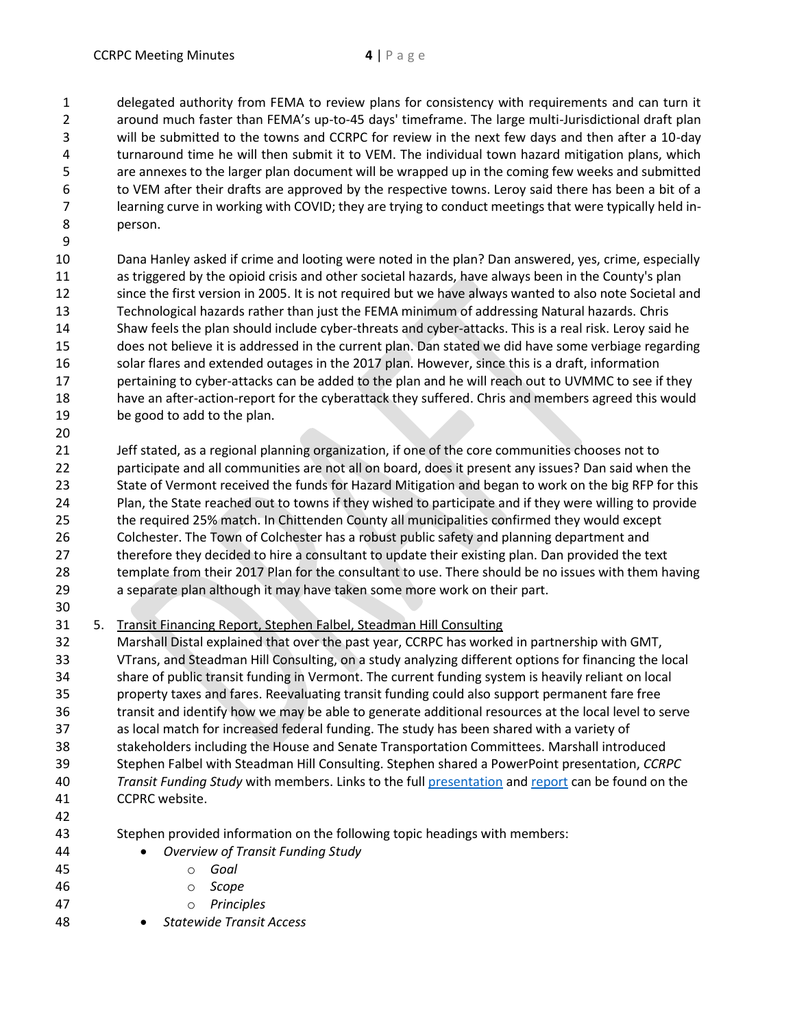delegated authority from FEMA to review plans for consistency with requirements and can turn it around much faster than FEMA's up-to-45 days' timeframe. The large multi-Jurisdictional draft plan will be submitted to the towns and CCRPC for review in the next few days and then after a 10-day turnaround time he will then submit it to VEM. The individual town hazard mitigation plans, which are annexes to the larger plan document will be wrapped up in the coming few weeks and submitted to VEM after their drafts are approved by the respective towns. Leroy said there has been a bit of a learning curve in working with COVID; they are trying to conduct meetings that were typically held in-person.

 Dana Hanley asked if crime and looting were noted in the plan? Dan answered, yes, crime, especially as triggered by the opioid crisis and other societal hazards, have always been in the County's plan since the first version in 2005. It is not required but we have always wanted to also note Societal and Technological hazards rather than just the FEMA minimum of addressing Natural hazards. Chris Shaw feels the plan should include cyber-threats and cyber-attacks. This is a real risk. Leroy said he does not believe it is addressed in the current plan. Dan stated we did have some verbiage regarding solar flares and extended outages in the 2017 plan. However, since this is a draft, information 17 pertaining to cyber-attacks can be added to the plan and he will reach out to UVMMC to see if they have an after-action-report for the cyberattack they suffered. Chris and members agreed this would be good to add to the plan.

 Jeff stated, as a regional planning organization, if one of the core communities chooses not to participate and all communities are not all on board, does it present any issues? Dan said when the State of Vermont received the funds for Hazard Mitigation and began to work on the big RFP for this Plan, the State reached out to towns if they wished to participate and if they were willing to provide the required 25% match. In Chittenden County all municipalities confirmed they would except Colchester. The Town of Colchester has a robust public safety and planning department and therefore they decided to hire a consultant to update their existing plan. Dan provided the text template from their 2017 Plan for the consultant to use. There should be no issues with them having a separate plan although it may have taken some more work on their part.

5. Transit Financing Report, Stephen Falbel, Steadman Hill Consulting

 Marshall Distal explained that over the past year, CCRPC has worked in partnership with GMT, VTrans, and Steadman Hill Consulting, on a study analyzing different options for financing the local share of public transit funding in Vermont. The current funding system is heavily reliant on local property taxes and fares. Reevaluating transit funding could also support permanent fare free transit and identify how we may be able to generate additional resources at the local level to serve as local match for increased federal funding. The study has been shared with a variety of stakeholders including the House and Senate Transportation Committees. Marshall introduced Stephen Falbel with Steadman Hill Consulting. Stephen shared a PowerPoint presentation, *CCRPC Transit Funding Study* with members. Links to the full [presentation](https://www.ccrpcvt.org/wp-content/uploads/2022/02/Item5_TransitFinancingOptions.pptx) and [report](https://www.ccrpcvt.org/wp-content/uploads/2022/02/Item5b_Transit_Financing_Report_20211229.pdf) can be found on the CCPRC website.

Stephen provided information on the following topic headings with members:

- *Overview of Transit Funding Study*
- o *Goal*
- o *Scope*
- o *Principles*
- *Statewide Transit Access*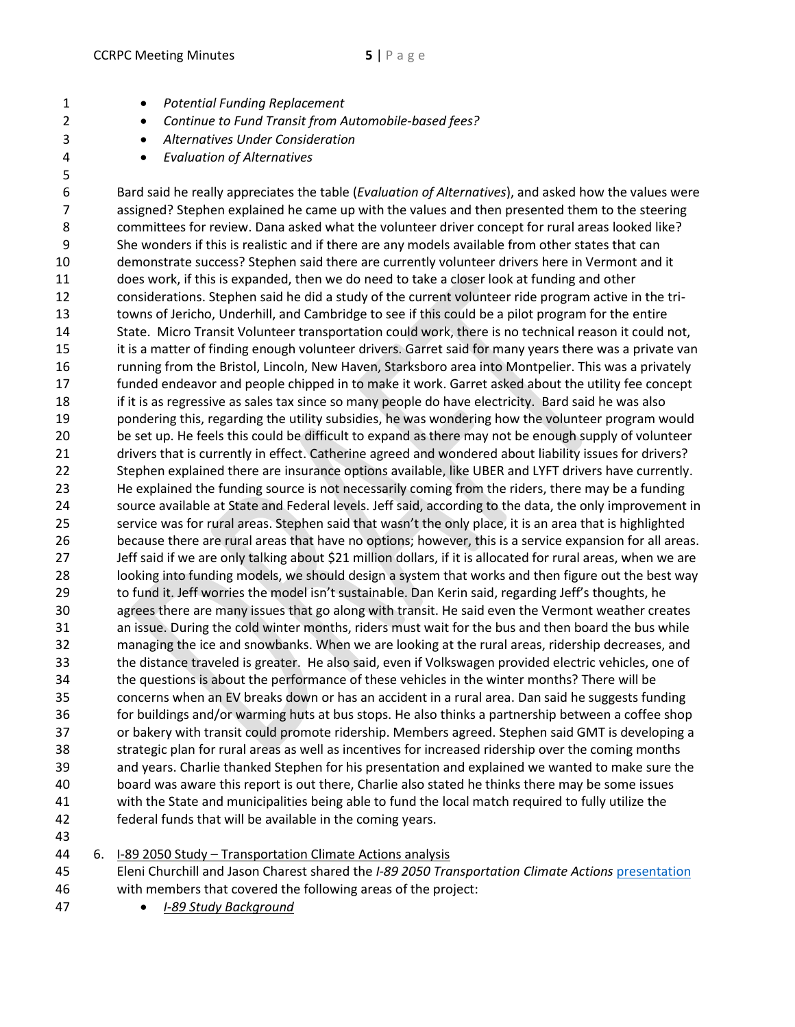- *Potential Funding Replacement*
- *Continue to Fund Transit from Automobile-based fees?*
- *Alternatives Under Consideration*
- *Evaluation of Alternatives*

 Bard said he really appreciates the table (*Evaluation of Alternatives*), and asked how the values were assigned? Stephen explained he came up with the values and then presented them to the steering committees for review. Dana asked what the volunteer driver concept for rural areas looked like? She wonders if this is realistic and if there are any models available from other states that can demonstrate success? Stephen said there are currently volunteer drivers here in Vermont and it does work, if this is expanded, then we do need to take a closer look at funding and other considerations. Stephen said he did a study of the current volunteer ride program active in the tri- towns of Jericho, Underhill, and Cambridge to see if this could be a pilot program for the entire State. Micro Transit Volunteer transportation could work, there is no technical reason it could not, it is a matter of finding enough volunteer drivers. Garret said for many years there was a private van running from the Bristol, Lincoln, New Haven, Starksboro area into Montpelier. This was a privately funded endeavor and people chipped in to make it work. Garret asked about the utility fee concept if it is as regressive as sales tax since so many people do have electricity. Bard said he was also pondering this, regarding the utility subsidies, he was wondering how the volunteer program would be set up. He feels this could be difficult to expand as there may not be enough supply of volunteer drivers that is currently in effect. Catherine agreed and wondered about liability issues for drivers? Stephen explained there are insurance options available, like UBER and LYFT drivers have currently. He explained the funding source is not necessarily coming from the riders, there may be a funding source available at State and Federal levels. Jeff said, according to the data, the only improvement in service was for rural areas. Stephen said that wasn't the only place, it is an area that is highlighted because there are rural areas that have no options; however, this is a service expansion for all areas. Jeff said if we are only talking about \$21 million dollars, if it is allocated for rural areas, when we are looking into funding models, we should design a system that works and then figure out the best way to fund it. Jeff worries the model isn't sustainable. Dan Kerin said, regarding Jeff's thoughts, he agrees there are many issues that go along with transit. He said even the Vermont weather creates an issue. During the cold winter months, riders must wait for the bus and then board the bus while managing the ice and snowbanks. When we are looking at the rural areas, ridership decreases, and the distance traveled is greater. He also said, even if Volkswagen provided electric vehicles, one of the questions is about the performance of these vehicles in the winter months? There will be concerns when an EV breaks down or has an accident in a rural area. Dan said he suggests funding for buildings and/or warming huts at bus stops. He also thinks a partnership between a coffee shop or bakery with transit could promote ridership. Members agreed. Stephen said GMT is developing a strategic plan for rural areas as well as incentives for increased ridership over the coming months and years. Charlie thanked Stephen for his presentation and explained we wanted to make sure the board was aware this report is out there, Charlie also stated he thinks there may be some issues with the State and municipalities being able to fund the local match required to fully utilize the federal funds that will be available in the coming years.

6. I-89 2050 Study – Transportation Climate Actions analysis

- Eleni Churchill and Jason Charest shared the *I-89 2050 Transportation Climate Actions* [presentation](https://www.ccrpcvt.org/wp-content/uploads/2022/02/Item6_I-89-2050-Study-2022-02-16.pptx) with members that covered the following areas of the project:
- *I-89 Study Background*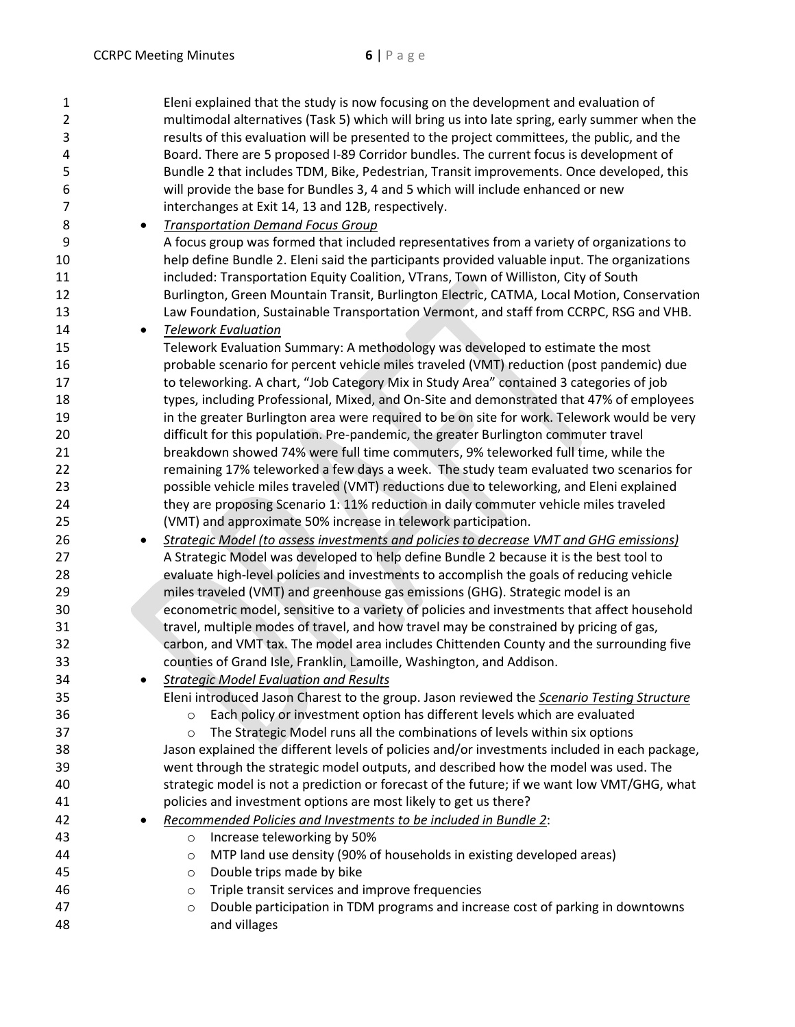| $\mathbf{1}$   |           | Eleni explained that the study is now focusing on the development and evaluation of                          |
|----------------|-----------|--------------------------------------------------------------------------------------------------------------|
| $\overline{2}$ |           | multimodal alternatives (Task 5) which will bring us into late spring, early summer when the                 |
| 3              |           | results of this evaluation will be presented to the project committees, the public, and the                  |
| 4              |           | Board. There are 5 proposed I-89 Corridor bundles. The current focus is development of                       |
| 5              |           | Bundle 2 that includes TDM, Bike, Pedestrian, Transit improvements. Once developed, this                     |
| 6              |           | will provide the base for Bundles 3, 4 and 5 which will include enhanced or new                              |
| 7              |           | interchanges at Exit 14, 13 and 12B, respectively.                                                           |
| 8              | $\bullet$ | <b>Transportation Demand Focus Group</b>                                                                     |
| 9              |           | A focus group was formed that included representatives from a variety of organizations to                    |
|                |           |                                                                                                              |
| 10             |           | help define Bundle 2. Eleni said the participants provided valuable input. The organizations                 |
| 11             |           | included: Transportation Equity Coalition, VTrans, Town of Williston, City of South                          |
| 12             |           | Burlington, Green Mountain Transit, Burlington Electric, CATMA, Local Motion, Conservation                   |
| 13             |           | Law Foundation, Sustainable Transportation Vermont, and staff from CCRPC, RSG and VHB.                       |
| 14             | $\bullet$ | <b>Telework Evaluation</b>                                                                                   |
| 15             |           | Telework Evaluation Summary: A methodology was developed to estimate the most                                |
| 16             |           | probable scenario for percent vehicle miles traveled (VMT) reduction (post pandemic) due                     |
| 17             |           | to teleworking. A chart, "Job Category Mix in Study Area" contained 3 categories of job                      |
| 18             |           | types, including Professional, Mixed, and On-Site and demonstrated that 47% of employees                     |
| 19             |           | in the greater Burlington area were required to be on site for work. Telework would be very                  |
| 20             |           | difficult for this population. Pre-pandemic, the greater Burlington commuter travel                          |
| 21             |           | breakdown showed 74% were full time commuters, 9% teleworked full time, while the                            |
| 22             |           | remaining 17% teleworked a few days a week. The study team evaluated two scenarios for                       |
| 23             |           | possible vehicle miles traveled (VMT) reductions due to teleworking, and Eleni explained                     |
| 24             |           | they are proposing Scenario 1: 11% reduction in daily commuter vehicle miles traveled                        |
| 25             |           | (VMT) and approximate 50% increase in telework participation.                                                |
| 26             | $\bullet$ | Strategic Model (to assess investments and policies to decrease VMT and GHG emissions)                       |
| 27             |           | A Strategic Model was developed to help define Bundle 2 because it is the best tool to                       |
| 28             |           | evaluate high-level policies and investments to accomplish the goals of reducing vehicle                     |
| 29             |           | miles traveled (VMT) and greenhouse gas emissions (GHG). Strategic model is an                               |
| 30             |           | econometric model, sensitive to a variety of policies and investments that affect household                  |
| 31             |           | travel, multiple modes of travel, and how travel may be constrained by pricing of gas,                       |
| 32             |           | carbon, and VMT tax. The model area includes Chittenden County and the surrounding five                      |
| 33             |           | counties of Grand Isle, Franklin, Lamoille, Washington, and Addison.                                         |
| 34             |           | <b>Strategic Model Evaluation and Results</b>                                                                |
| 35             |           | Eleni introduced Jason Charest to the group. Jason reviewed the Scenario Testing Structure                   |
| 36             |           | Each policy or investment option has different levels which are evaluated<br>$\circ$                         |
| 37             |           | The Strategic Model runs all the combinations of levels within six options<br>$\circ$                        |
| 38             |           | Jason explained the different levels of policies and/or investments included in each package,                |
| 39             |           | went through the strategic model outputs, and described how the model was used. The                          |
| 40             |           | strategic model is not a prediction or forecast of the future; if we want low VMT/GHG, what                  |
| 41             |           | policies and investment options are most likely to get us there?                                             |
| 42             |           | Recommended Policies and Investments to be included in Bundle 2:                                             |
| 43             |           | Increase teleworking by 50%                                                                                  |
|                |           | $\circ$                                                                                                      |
| 44<br>45       |           | MTP land use density (90% of households in existing developed areas)<br>$\circ$<br>Double trips made by bike |
|                |           | $\circ$                                                                                                      |
| 46             |           | Triple transit services and improve frequencies<br>O                                                         |
| 47             |           | Double participation in TDM programs and increase cost of parking in downtowns<br>$\circ$                    |
| 48             |           | and villages                                                                                                 |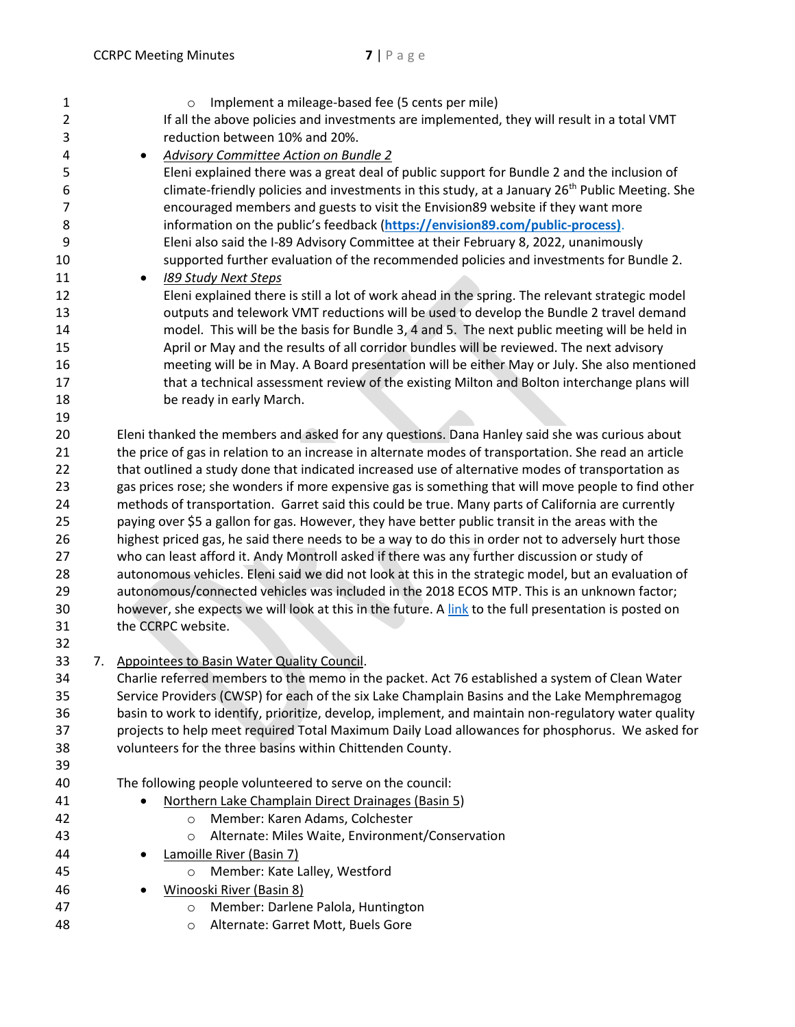| $\mathbf{1}$<br>2<br>3 |    | Implement a mileage-based fee (5 cents per mile)<br>$\circ$<br>If all the above policies and investments are implemented, they will result in a total VMT<br>reduction between 10% and 20%. |  |  |
|------------------------|----|---------------------------------------------------------------------------------------------------------------------------------------------------------------------------------------------|--|--|
| 4                      |    | <b>Advisory Committee Action on Bundle 2</b><br>٠                                                                                                                                           |  |  |
| 5                      |    | Eleni explained there was a great deal of public support for Bundle 2 and the inclusion of                                                                                                  |  |  |
| 6                      |    | climate-friendly policies and investments in this study, at a January 26 <sup>th</sup> Public Meeting. She                                                                                  |  |  |
| 7                      |    | encouraged members and guests to visit the Envision89 website if they want more                                                                                                             |  |  |
| 8                      |    | information on the public's feedback (https://envision89.com/public-process).                                                                                                               |  |  |
| 9                      |    | Eleni also said the I-89 Advisory Committee at their February 8, 2022, unanimously                                                                                                          |  |  |
| 10                     |    | supported further evaluation of the recommended policies and investments for Bundle 2.                                                                                                      |  |  |
| 11                     |    | 189 Study Next Steps<br>٠                                                                                                                                                                   |  |  |
| 12                     |    | Eleni explained there is still a lot of work ahead in the spring. The relevant strategic model                                                                                              |  |  |
| 13                     |    | outputs and telework VMT reductions will be used to develop the Bundle 2 travel demand                                                                                                      |  |  |
| 14                     |    | model. This will be the basis for Bundle 3, 4 and 5. The next public meeting will be held in                                                                                                |  |  |
| 15                     |    | April or May and the results of all corridor bundles will be reviewed. The next advisory                                                                                                    |  |  |
| 16                     |    | meeting will be in May. A Board presentation will be either May or July. She also mentioned                                                                                                 |  |  |
| 17                     |    | that a technical assessment review of the existing Milton and Bolton interchange plans will                                                                                                 |  |  |
| 18                     |    | be ready in early March.                                                                                                                                                                    |  |  |
| 19                     |    |                                                                                                                                                                                             |  |  |
| 20                     |    | Eleni thanked the members and asked for any questions. Dana Hanley said she was curious about                                                                                               |  |  |
| 21                     |    | the price of gas in relation to an increase in alternate modes of transportation. She read an article                                                                                       |  |  |
| 22                     |    | that outlined a study done that indicated increased use of alternative modes of transportation as                                                                                           |  |  |
| 23                     |    | gas prices rose; she wonders if more expensive gas is something that will move people to find other                                                                                         |  |  |
| 24                     |    | methods of transportation. Garret said this could be true. Many parts of California are currently                                                                                           |  |  |
| 25                     |    | paying over \$5 a gallon for gas. However, they have better public transit in the areas with the                                                                                            |  |  |
| 26                     |    | highest priced gas, he said there needs to be a way to do this in order not to adversely hurt those                                                                                         |  |  |
| 27                     |    | who can least afford it. Andy Montroll asked if there was any further discussion or study of                                                                                                |  |  |
| 28                     |    | autonomous vehicles. Eleni said we did not look at this in the strategic model, but an evaluation of                                                                                        |  |  |
| 29                     |    | autonomous/connected vehicles was included in the 2018 ECOS MTP. This is an unknown factor;                                                                                                 |  |  |
| 30                     |    | however, she expects we will look at this in the future. A link to the full presentation is posted on                                                                                       |  |  |
| 31                     |    | the CCRPC website.                                                                                                                                                                          |  |  |
| 32                     |    |                                                                                                                                                                                             |  |  |
| 33                     | 7. | Appointees to Basin Water Quality Council.                                                                                                                                                  |  |  |
| 34                     |    | Charlie referred members to the memo in the packet. Act 76 established a system of Clean Water                                                                                              |  |  |
| 35                     |    | Service Providers (CWSP) for each of the six Lake Champlain Basins and the Lake Memphremagog                                                                                                |  |  |
| 36                     |    | basin to work to identify, prioritize, develop, implement, and maintain non-regulatory water quality                                                                                        |  |  |
| 37                     |    | projects to help meet required Total Maximum Daily Load allowances for phosphorus. We asked for                                                                                             |  |  |
| 38                     |    | volunteers for the three basins within Chittenden County.                                                                                                                                   |  |  |
| 39                     |    |                                                                                                                                                                                             |  |  |
| 40                     |    | The following people volunteered to serve on the council:                                                                                                                                   |  |  |
| 41                     |    | Northern Lake Champlain Direct Drainages (Basin 5)                                                                                                                                          |  |  |
| 42                     |    | Member: Karen Adams, Colchester<br>$\circ$                                                                                                                                                  |  |  |
| 43                     |    | Alternate: Miles Waite, Environment/Conservation<br>O                                                                                                                                       |  |  |
| 44                     |    | Lamoille River (Basin 7)                                                                                                                                                                    |  |  |
| 45                     |    | Member: Kate Lalley, Westford<br>$\circ$                                                                                                                                                    |  |  |
| 46                     |    | Winooski River (Basin 8)                                                                                                                                                                    |  |  |
| 47                     |    | Member: Darlene Palola, Huntington<br>$\circ$                                                                                                                                               |  |  |
| 48                     |    | Alternate: Garret Mott, Buels Gore<br>O                                                                                                                                                     |  |  |
|                        |    |                                                                                                                                                                                             |  |  |